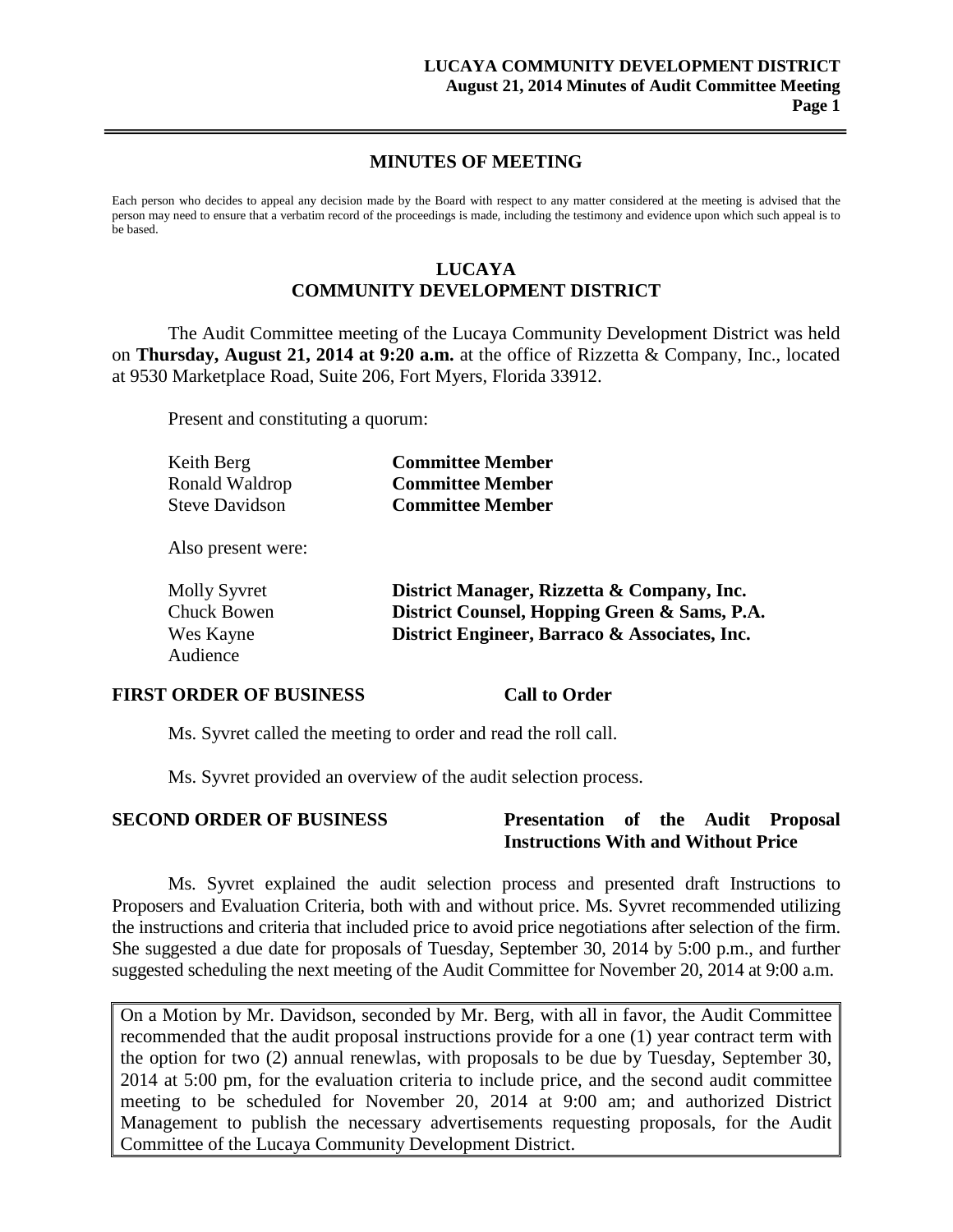### **MINUTES OF MEETING**

Each person who decides to appeal any decision made by the Board with respect to any matter considered at the meeting is advised that the person may need to ensure that a verbatim record of the proceedings is made, including the testimony and evidence upon which such appeal is to be based.

## **LUCAYA**

# **COMMUNITY DEVELOPMENT DISTRICT**

The Audit Committee meeting of the Lucaya Community Development District was held on **Thursday, August 21, 2014 at 9:20 a.m.** at the office of Rizzetta & Company, Inc., located at 9530 Marketplace Road, Suite 206, Fort Myers, Florida 33912.

Present and constituting a quorum:

| Keith Berg            | <b>Committee Member</b> |
|-----------------------|-------------------------|
| Ronald Waldrop        | <b>Committee Member</b> |
| <b>Steve Davidson</b> | <b>Committee Member</b> |

Also present were:

| <b>Molly Syvret</b> | District Manager, Rizzetta & Company, Inc.    |
|---------------------|-----------------------------------------------|
| Chuck Bowen         | District Counsel, Hopping Green & Sams, P.A.  |
| Wes Kayne           | District Engineer, Barraco & Associates, Inc. |
| Audience            |                                               |

#### **FIRST ORDER OF BUSINESS Call to Order**

Ms. Syvret called the meeting to order and read the roll call.

Ms. Syvret provided an overview of the audit selection process.

#### **SECOND ORDER OF BUSINESS Presentation of the Audit Proposal Instructions With and Without Price**

Ms. Syvret explained the audit selection process and presented draft Instructions to Proposers and Evaluation Criteria, both with and without price. Ms. Syvret recommended utilizing the instructions and criteria that included price to avoid price negotiations after selection of the firm. She suggested a due date for proposals of Tuesday, September 30, 2014 by 5:00 p.m., and further suggested scheduling the next meeting of the Audit Committee for November 20, 2014 at 9:00 a.m.

On a Motion by Mr. Davidson, seconded by Mr. Berg, with all in favor, the Audit Committee recommended that the audit proposal instructions provide for a one (1) year contract term with the option for two (2) annual renewlas, with proposals to be due by Tuesday, September 30, 2014 at 5:00 pm, for the evaluation criteria to include price, and the second audit committee meeting to be scheduled for November 20, 2014 at 9:00 am; and authorized District Management to publish the necessary advertisements requesting proposals, for the Audit Committee of the Lucaya Community Development District.